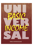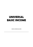# **UNIVERSAL BASIC INCOME**

MARCUS BRANCAGLIONE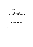© 2016 Marcus Brancaglione. All the work is under Licença (ARobinRight. To see a copy of the go to, http://www.recivitas.org/licenca-robinright

Autor: Marcus Brancaglione

Final edition, organization, cover: Bruna Augusto Proofreading and English version: Marcio Rolim and Fabiana Reis Cecin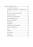| Development? Development is undeniable. But is it for |  |
|-------------------------------------------------------|--|
|                                                       |  |
| But it's never too late to make it right 19           |  |
|                                                       |  |
| Another vision, another definition  28                |  |
|                                                       |  |
|                                                       |  |
|                                                       |  |
|                                                       |  |
| Conditions and Unconditionalities 48                  |  |
|                                                       |  |
|                                                       |  |
|                                                       |  |
|                                                       |  |
|                                                       |  |
|                                                       |  |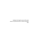*I dedicate this English version of this short essay to my friend and sister in letters and ideals, Fabi.*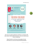

This text was original published on Medium on October 10th 2016, before USA presidential elections, after the World Social Forum in Montreal.

https://medium.com/marcus-brancaglione/rendab%C3%A1sica-universal-67cbd116542e#.ppo4piidq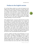## **Preface to the English version**

So my friend Marcus asked me to write the foreword to the English version of this book. And who am I exactly, other than an amateur translator capable of rendering passable English? I am a nobody. To be more precise, I am a someone whose only current role in this excuse for a society of beings that claim themselves to be knowing and sentient is to be myself and to do what I like to do. Which is to think, to write, and to figure out a way, to try to see and to understand how to actually change something, in me and in the world.

After reading the book, I may have understood why he invited me. Perhaps he did so precisely because I am a nobody. As Marcus teaches us, salvation comes only from those who need to be saved. The truly universal, non-discriminating, solidaritybased, global Basic Income will be conceived by, then created, paid for and received by the very same people, which are we, the nobodies of the world. Charles Eisenstein, one of my favorite writers, also claims to be a nobody in the realm he writes about, and he writes about literally Everything. And that nobodiness, he claims, is perhaps what signals the closeness of the vision of a new, more beautiful world he writes about.

I may be a nobody in the Basic Income Movement, or in any kind of politics, sociology, anthropology, economics or even social activism, but if Marcus Brancaglione's core insight is correct, then a Basic Income can only be made real by the additional involvement of the "everyone else," the nobodies. It will only happen when the nobodies, the 99.9%, both speak and listen directly from and to each other, without depending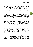on intermediation by any sort of 0.1%, which are the people we are always going to see on the bookshelves, radio, TV and the big internet outlets. And as the Basic Income ideal goes, this is not about getting rid of the 0.1%, but of paying a Basic Income for them too, that is, guaranteeing a share of voice, of play time to everyone. The revolution is from the 100% and to the 100%. Everyone gets their share of voice, and there are billions of diverse voices to listen from, instead of everyone turning to their dystopian Tele-Visions to listen to some State-corporate expert authority's opinions on specifically how the whole of humanity should sabotage themselves today in order to better keep serving what Heather Marsh (another author you need to read) calls the age-old Ponzi schemes of power and celebrity.

What is an "income," what is "money" other than a convoluted symbolic game that maps to political power, and as such can be metaphorically seen as a "voice," as "speech"? Money is speech, so say the USian high courts. So the nobodies will speak freely, and that free speech will be their free economic ties, enabled by their own Basic Income network. The network that they will build and that they will fund. They, we, all of us, but mostly we, the nobodies, will politically and technically voice an Universal Basic Income into being, and that network of economy that we will create is what will enact our liberation. As Marcus painstakingly argues in this book, the other Basic Income, the classist, racist, xenophobic one, being conocted by the very logic that structurally denies, suppresses the emergence of this network of liberation, is not going to be your friend. I have argued with Marcus that, accidentally and in time it might, but I agree with him that it will not by its default design.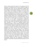Marcus' writing provides the reader an inner glimpse of his life experience as someone who has once visited the village of Quatinga Velho, Brazil, and has implemented, together with Bruna Augusto and their NGO, ReCivitas, one of the first Basic Income pilots in the Southern Hemisphere. The book starts with his sensing that something is rotten in the kingdom of Basic Income Movement, as he realizes in horror his academic mistake of objectifying humans as guinea pigs of an economic experiment being carried out by unwitting replicators of an external, hierarchical structure of disempowerment. Marcus proceeds then to vividly expose his process of seeing truth upon truth of the matter, deconstructing fundamental concepts such as universality, unconditionality, properties and rights into their living, proto-spiritual quantum particles, and then culminates in a vision of a dystopian present world engineered, through its "social" systems, specifically to produce and to perpetuate oppression, deprivation and starvation. That is, we do not have systemic problems because we have erred in designing our systems, but because these problems are the designed result of our systems. All of them, including our favorite ones. And then, the book argues, if we want that machine to stop devouring people and planet, then something must change. And what must change is us. We, all of us, must stop being passive replicators of these games, and instead realize we have been psychologically trapped, duped into buying new version upon new version of the same principles that have excluded the majority of us from politically and economically existing since the beginning of hierarchical, exploitation, deprivation and genocide-based civilization on this planet.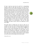Or have I read too much into his work? Am I extrapolating outside of what he said? Well, why don't you check out for yourself? I am not out to clone his thinking, nor anyone else's. What his writing has done to me was the same that the writing of all the great writers (those that are great because they have remained being nobodies even after they became known) I have read have done to me. I have become flared up, not in fanaticism, but in creativity. I have become more of myself. I have felt my inner connections broaden, expand, and reach new pockets of mystery that do not map to an external artifact I just assimilated. This book, like all pieces of great writing by the great nobodies of this world, are mantras, magic, tools, gateways. Human, live conversations. They are not dead knowledge, but doors, mirrors, food to an expansion of one's own insight.

This great piece of writing was not easy to read, nor to translate. It hurts, like it does all great writing that reveals the wounds, the pain we have as a society been struggling for aeons to cover up with distractions and cynicism. And it has helped me know more of myself, of my own power, and as such has also furthered my liberation, my letting go of what does not serve me no longer. I hope it can be the same to you. And I hope that our upcoming Universal Basic Income network can do the same to this aching, all too human world.

*Fabiana Reis Cecin*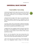## **UNIVERSAL BASIC INCOME**

#### **I must admit, I was wrong**

I previously thought that the abyss that prevents the universal human right of Basic Income from being an exercised reality was merely an ethical one. It is not. That abyss is much deeper. It is a moral one.

I believed that the length of this abyss was essentially about the distance between discourse and its realization; that the nature of this hole was that of the gap between theory and practice.

I assumed, naively, that it would suffice to defeat the blockages of the political and academic demagogueries for the concept of Basic Income to spread around the world as a praxis.

I imagined that if we managed to plant this ideal far away from the reapers, as the seedling form of a new citizen's ethic, of a new ethic for social activism, that the fields of Basic Income would flourish. Nope.

But no, I am not saying that I have sown among stones. Our Basic Income pilot project in Brazil would have never existed if it were not for all the international solidarity it has received.

I don't even know how we would have survived without the help of our Bangladeshi friends in Rome, or of the Swiss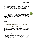movement folks who have welcomed us in their homes when we essentially escaped Brazil, almost as political refugees. I do not know what our fate, or of our project, would have been, without their solidarity. And these are just some of them… how can I forget them?

However, I cannot close my eyes to the state of today's world as a whole. And in that world, we are few. Few who are willing to share the truth, to invest our time and money on all other human beings without judging them, discriminating them. Few fighting for humanity. And those on the opposite side are legion. So many serving armies, States, companies and their schemes. Millions of people sustain, forced or not, the investment of trillions of dollars in that industry of death and deprivation.

### **Development? Development is undeniable. But is it for all?**

Yes, for sure there is development for those who live in the centers of the world, protected by the lords of war and capital. But where is the development for those who are considered the remainder of the world? For those who live in the outskirts, outside of the burgeois bunkers?

What is new in globalization for those who will die in the name of the march of civilization and be erased of the white history of the world? What is this pain of globalization that is inflicted on them other than the plain old oppression of colonization,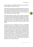merely dressed in new clothes? Or better put, just dressed in clothes slightly less drenched in blood?

The Basic Income movement has been growing, but it does not seem to be at all willing to face the fact of the enslavement of entire populations. Actually, let's be fair, it does not seem to be even willing to face the precarization of work head-on, let alone the International Division of Labor.

International Division of Labor! What a pompous euphemism for the plain old genocidal plundering through the mechanisms of capital. What a fancy word for the monopolization of access to natural resources, for the exploitation of those expropriated, deprived of access to their common good, to their natural habitat, their means of sustenance, from their births to their deaths.

I know that is seen as a radical point of view for many people, especially those who live in bubbles. I know that for bankers, politicians, technocrats and even academics that live out of and eat very well from the hand of this system, that radical point of view of the world is the one that has to be constantly erased and silenced. Although I can understand that these people are motivated by the defense of their privileges, what about those who do not actually sit in a comfortable position in the social pyramids of power? What about those who carry the pyramids on their backs, and that can read, write and understand? Or, what about those who do sit comfortably atop other people's backs, but swear they really care for them? How can we pretend we are not seeing all of that?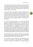I do understand, therefore, the interests of the old defenders of national Basic Income programs. But what about those who now want to add the word "Universal" to their concept of Basic Income? What is it that you are feeling, what is it that you are seeing? What is your universe?

How can the idea of universality and of human rights truly for all humans, without distinctions, including nationalistic ones, sound so foreign, strange or utopian? How can that be, even to those who have never suffered famine and poverty nor saw them up close? How can they talk about universality while being unmoved by the meaning of what it is to be human on this planet?

It is obvious that Basic Income is not only about fighting poverty or material deprivation. That vision ignores the libertarian foundation of the concept. It is obvious that the Basic Income movement is about liberating all people, without any discrimination or segregation, from all primitive deprivation, from everything that denies them access to all of the common good. That is why I ask myself how a struggle for emancipation both political and economic can be subdued and sold to the status quo? How can it be reduced to the ideological framework that both deforms the ideal and miscarries its birth?

Do you think that the issue with the lack of Basic Income begins and ends with bad jobs and with the scarcity of paid work? That the ideal of Basic Income can be reduced to that?

No. The Basic Income is a libertarian and humanitarian ideal that cuts much deeper, that precedes the problematic symptoms arising from the depletion of yet another phase of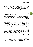the capitalist production process. It has opposed this povertyproducing machine from a much earlier, much more fundamental position than that of technological unemployment. It is there, in the struggles and the revolutions against the worst crimes of statecraft and privatism: the crime of denying people's natural right to life and liberty, and the crimes of the outright oppression and murder of people, especially those who have no power to exercise their natural, legitimate right to self-defense.

The miracle of a human being that gets up and puts himself in the way of violence and deprivation imposed upon another, without expecting anything in return: where do you think that comes from? It comes from solidarity, my friends. It comes from the only thing that keeps our humanity alive, not as a charity, but as a dream, and as a revolt triggered by witnessing as our brothers and sisters are condemned to death. As they are sentenced to live senseless lives, working themselves to death. As they are condemned not because they were born short on luck, but because they do not belong to God's chosen people or their states. They will die for no reason other than their right to life being taken away from them. Not in theory, but in fact, as their rightful share of the common good that would fulfill their right to life is taken away from them: the share that was theirs simply because they exist.

Entire populations are robbed by their negligent and corrupt states that are allied to transnational companies and capital that monopolize, pillage their land and their natural resources. No sirs, all these riches are not being sent to outer space. All that is stolen by the corrupt, totalitarian politicians of poor countries, in collusion with their companies and armed forces is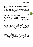used to support the consumptive drive of this oh-so-beautiful civilizing process that looks like a planet-devouring locust swarm.

No, I'm not bitter. On the contrary, I love a good fight. But it seems that a fight is all we are going to get. Today, humanity is as dry and arid as a riverbed that has been diverted from its natural course such a long time ago that it hardly remembers that one day it hosted intelligent and solidary forms of life, evolving and revolutionizing themselves.

And this is no criticism towards those who benefit from this system or are paid to sustain it. The fool is me and all others who have believed in white universality and humanity. The fools are us, those who continue to beg the wolves to shepherd us.

But they fool no one. They are openly defending the theses and proposals of humanity and of Basic Income that are more convenient to them. The fool is the one who lets himself be fooled, believing that these models, theses, proposals will reach us someday. That this Basic Income was really for all, as equals, and not merely as guinea pigs.

No, my friends, the Basic Income may even come for the citizens of developed countries, but for the bottom of the global pyramid it will not come without massive unity, solidarity and struggle for the excluded. It will not come unless we shout, with all our might, that we are not their objects of study, experimentation, use or employment. That we are people, and that we are equals in rights, living in and sharing the same world.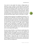If we want to stop people from dying in refugee boats, in factories, in wars, in prisons, in every dead end of this world from where capital and labor only ever comes out and never in except for the occasional crumbs, we will have to rise up and not only become beneficiaries of a Basic Income, but creators of a Basic Income that is truly for all, without borders, without nationalistic or territorial distinctions. We will have to run our own pilot projects, and we will have to develop our own ideals. But what else did we expect? Liberty is never given, it is taken.

The Basic Income movement is an abolitionist movement. It is a movement for the liberation of all that, through a process of primitive deprivation, are forced to sell their labor to someone else who has more power than them. The relationship between the monopolizers of the common good and the expropriated is not that of work contracts, but of wage slavery. Unequal people in terms of possessions, of wealth are free to sell their work to each other. But whoever hires, profits or benefits from the subservient work of people who have been denied their share of the common good may not be a literal slave-owner, but is in fact living at their expense.

We were wrong, therefore, in not being very explicit about this extremely obvious point of view. I am not sure whether we skipped it because we thought this was way too obvious to be worthy of mention, especially among those who advocate for a Basic Income. I am not sure whether we, of ReCivitas, lacked either courage or vision then, but I do know what we are missing now: a new definition of Basic Income. A definition that will re-integrate its theses to the humanitarian and social ethics that can never be missing from it.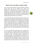#### **But it's never too late to make it right**

So far, we have been working as if the only problems with Basic Income were the lack of initiatives and, mainly, the development of applied methods. As if the problem could be reduced to a missing social technology that would put the available theory into practice. Now we know—mostly thanks to experimentation itself—that in addition to literature geared towards applied basic income, there is a shortage of theses and definitions that are sufficient to its realization.

I am not affirming that the approach of basic income as an independent policy backed by the paradigm of social activism allied to that of innovation and social technology is a mistake. We have indeed nailed that one, or otherwise we'd have been crushed a long time ago. But it is undeniable that we have erred in thinking that the simple realization of a model would be sufficient to inspire its replication. It did inspire, but not as a borderless ideal, not with the same social, humanitarian and libertarian spirit. Not with the breadth and reach we had hoped for.

As I said, we thought that all that Basic Income needed to fly was the machinery. A workable model. That showing that it works would suffice to bring it down from the ivory tower and to wrestle it from the endless mental masturbations of neoliberal apologists. I really thought that if we built, at last, the first projects that could take off and fly on their own, we could help to start that revolution. And no, I do not deny that, in a way, thanks to these projects the Basic Income is at last taking off. But I repeat, Basic Income is missing its essence: the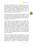innovative and libertarian spirit, in the most profound and revolutionary sense of the word. In the sense that one Thomas Paine conceived of and understood: that of the liberation of politically and economically dominated peoples in order for them to build new worlds. Anything less than that is a compromise that we already know is only going to result in no effective liberation; just more of the same.

Don't get me wrong. This is not a break-up with allies that have more restricted views or proposals. On the contrary: it is a call for them to not lose the spirit of Basic Income from sight, for even within the most constrained initiative we should be able to uphold our common ideal.

I will not deny that we are progressing fast. A paradigm was broken with our small experiments and pilot projects. The utopia is finally becoming reality, in part because the old welfare state is breaking down and an alternative is needed. I should, therefore, be proud for being part of this still minuscule revolution that is coming. But I confess that I am not. Not only because it is all still too little, but because I see no universality in the Basic Income that is coming. I am no Diogenes to walk the earth, lamp in hand, looking for a truly cosmopolitan citizen. But I ask: Universal Basic Income? Universal for whom exactly, white man?

I know that speaking of practice and application of a basic income as if it needed studies and methods, as if there were techniques and strategies for its execution sounds like a stretch to many people, especially to two groups of them. The first are those who think it is sufficient to convince everyone that the basic income is a good idea, or to simply make it happen by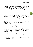decree. The second are those who think the basic income is impossible as there is not enough for everyone and that's the end of it. In theory these two groups are completely distinct, but in practice their respective positions lead to the same place: nowhere. Both those who defend it and those who attack it without thinking can, in reality, hold hands, as both groups think Basic Income is nothing but distributing cash to people. An oversimplification that induces people to paralysis.

It is tempting to look at basic income as a standing egg. Something that looks impossible before someone does it, and easy after someone shows how it is done. But it is not really like that. I am not trying to sell difficulties; we are volunteers and would literally gain nothing from doing that. But to simply ignore the war behind social transformations is to ask to be shot down by the first shots fired by those who don't want to see them happen.

Be it, therefore, because we think it is very easy, or because we think it is completely impossible, the underlying, paralyzing pressuposition is the same. Starting from that premise, it is no accident that so few projects, big and small, have managed to get off the ground and to continue existing, even in places where what is lacking is not money.

Sure, it is obvious that to build a basic income project we do not need a rocket scientist or, God forbid, social engineering. Dealing with people is no rocket science. It is really much simpler than that... and because of that, it is infinitely more difficult to make it work.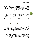Basic Income is like marriage, or world peace. In theory it is very easy to explain, but in practice it is not so simple to make it work. The engineers of economics may never admit it; they can forever preach that their professions and studies are so much more complex than social relations or achievements, but statistics show otherwise. They can lie, but the data cannot.

If the Basic Income was so simple and easy as it looks, and if making it happen simply boiled down to good presentation and persuasion, then the Basic Income, as with world peace, would have happened a long time ago.

Allow me to show, right off the bat, what the first great problem with Basic Income is, because it is the same with every other ideal: in practice, the theory is always something else.

### **The theory of practice**

In reality, both the ideal and the essential are not only invisible, but insignificant to those who are not acquainted with (i.e., don't suffer) the state of famine that is a result from their deprivation. The basic income is like the freedom it represents: you are only aware of it through the absence of what was or should be guaranteed.

Hence it is not surprising that those who had the tact and the initiative to make basic income happen have been the small villages in Africa and Latin America. Power can even be created from the deprivation of knowledge. But knowledge is not power, it is sensibility and experience; it is made of suffering and compassion. Suffering creates brotherhood, solidarity and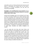universality, and it is in it that we discover how much we are all equals in vulnerability and through which we first build a communion of common perceptions and only then the community of knowledge.

#### **Knowledge is not something that can be parroted. It is cosignified by the presence of meaning, feeling and a connection with the other in their reality.**

Certainly that knowledge needs to be translated into the rigor of theses and rational methods, but it doesn't generate itself from mere propositions and experiments that are decoupled from its originating meaning and therefore lacking the original human and social connection. On the contrary, that translation should occur through ideals and sensible experiences that are aware of their sensibility and their humanitarian and socializing meaning. It is necessary, therefore, more than experimentation and rationality, or hypotheses and ideological presuppositions to realize ideals. Sensibility and solidary intelligence are needed.

I am not saying that only those who know famine and deprivation (material or psychological) have the capacity to get to know and realize an universal basic income, and I am certainly not saying that only in the poor places of the world there is enough sensibility for its development. That is a double lie. Not only there are people that are sensitive to poverty and segregation in the suburbs of the richest countries of the world as well as in the poorest, but enough people lying in the gutters at every corner of both worlds, offering plenty of opportunity for anyone willing to sensibilise themselves to it.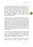I am affirming that a conception of basic income that is not aware of the famine and deprivation present anywhere in the world has no capacity to truly understand basic income nor to arrive at a truly universal definition of it, not only as a praxis but as a set of ideas that this practice sorely lacks. That set of ideas that, as an hypothesis, does not look at reality as a mere field for validation of its falsities or verities, but that is made of the simultaneous integration of the practice and the theoretical-practical theses.

I am aware that the entire world is closing itself in fear and xenophobia. But that is still another reason for basic income to not surrender to that tendency. We see the world lifting concrete walls of prejudice, dividing itself along the lines of privilege. We see civil society, the world that considers itself civilized, hiding once again behind walls, guards and fences, turning away from those who live outside their neighborhoods and territories, while their armadas do their dirty work, away from their sight. But what about us, those who preach a socalled Universal Basic Income? What will we do? What will we put our sights on?

I see humanism and universalism retreating and surrendering to the old statism and nationalism. And we cannot simply watch our conception of universality lose its humanity and cosmopolitanism, being reduced and taken over as the peoples of the world are by nationalism and territorialism.

We cannot fall into the trap of a kind of pragmatism or political realism that in fact is neither a praxis nor a reality, but a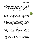dystopia. We do not need a world-wide basic income or any other type of territorial totality to preserve the ideal of universality and make it happen. What we do need are societies that are open to the world. If through the ideal that is expressed in our theses we already renounce to that, and if we are content in only replicating the basic income as something reduced to fit the old, bankrupt model of the nation-state, then we are just going to go down with them and their fanatics.

To be fair, it cannot be said that our proposal is a departure from these old theses and definitions, because it is a reaffirmation of principles to extent the reach of the ideal. In fact, we have never completely fit in the old paradigm and have been, in practice, gradually distancing ourselves from it. And we have always dealt with the consequences of that with ease. And precisely because of that we have no issues with owning that these old paradigms and definitions have been very useful to us. However, although we have always known that we should never chain ourselves to them, today we have proof of how much beyond them we must go.

We are grateful to the sources of theory that we have drunk from to build our first models for the pilot project of Quatinga Velho. The theories then available were of supreme importance to the success of that experience. They might not have been enough to prove their propositions, but they were more than enough to demonstrate the validity of the applied basic income. However, as it was to be expected, these conceptions manifested, through experimentation, their inherent limitations.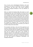First, of course, were methodological limitations, since such conceptions so far were not referenced, not even to applied basic incomes. But then other, more serious limitations manifested: conceptual limitations of the very definition of Basic Income.

When we started the Quatinga Velho pilot project, we used Vanderborg-Parijs' basic income definition. We knew from the start that basic income was not a label that we could just stick over something, but rather something arising from a rigorous procedure that bore the right to social action. Not in the eyes of experts, but above all in the eyes of those who would receive it. We knew that it was in the perception of those people from the community that received the basic income that it would lie, during the experiment, the consummation of this act with the full meaning we projected onto it. We knew that the conception of a basic income was not, therefore, just a little set of rules to follow and to work within.

The conception, the thesis, is the soul of the experiment, and not only it needs the body to take a concrete form and spring to life, but the body needs the conception that gives its vitality so that it will not only be an act that is empty of meaning. We knew that we needed to give birth to the meaning of experience beyond a mere observation of phenomena, as the realization of the new. A social and humanist parthenogenesis that would bring life to that ideal in its libertarian spirit. Any less than that would be intellectual masturbation and ideological falsification.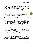It is through the ideal that the free and voluntary wills rise up. An ideal is not a mere idea. It is a transcendental conception. It is the dream of the son that has not yet arrived. Of the person we have not yet become. Of the world that we do not have. It can be in principle an abstraction, a dream. But when it falls to earth and is faced with the real, with the famine and the deprivation, it must transform itself, it must be born and fight to exist, and it is that fight and that sensibility to the famine and the deprivation that will not only give a material shape to that ideal, but a new shape to that already revolutionary spirit.

The naturalist and humanist idealism is, in principle, a state of spirit which manifests itself as a sentiment, a will to transform, and as a profound nostalgia for the original. A longing for the new to be with us again, as if it was present with us before, but is now absent. It is a feeling that needs to be resignified into sensitive conceptions that are capable of not only translating its spirit, but of giving it a body, a concreteness in the real, existing world, and through that not only of incarnating the principle, but transforming it as it has its living experience.

And because we have not forgotten that while we learned, because we knew the fundamental role of the conception of ideals during their realization that is a light that is completely opposed to the principles that guide the new and their realizers, and because we knew how much a thesis can be the pre-conceptual framework that deforms and kills an ideal even before it can be born and grow, we have produced, simultaneous to the practice, a literature that can help the development of that practical-theoretical conception that is more attuned to basic income, and that proposes definitions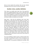that are truer towards the practices that we have already developed and that we intend to continue developing.

#### **Another vision, another definition**

From where we socially stand, down here, from grassroots action, the available definitions have run dry in what they could have contributed towards the realization of basic income; they have shown insufficient to express the ideal of basic income. They are not able to sensibilize nor reach those who most need the income, neither as a practice nor as an ideal.

Deep down, I think that the definitions were never been thought out to reach those who have nothing, no income, no guaranteed social protection nor a first-class citizenship. They never aspired to go beyond the borders that are closed off. Even when such borders are not closed shut, and even when we put aside Eurocentrism, that is, the closing of the borders of the "first world" to the peoples of the colonized "third," those timid and insufficient definitions of Basic Income do not encompass even the inner universe of such borders, even there failing completely in reaching an universality that is absolutely necessary to a definition of Basic Income that is faithful to the ideal. If you don't believe that, ask the citizens who, while inside the centers of the world, are still not first-class citizens of a national territory.

The current definition of Basic Income is afraid of itself. Of its own power of upending the world. Of how revolutionary the true basic income is. It is of no use to try to hide it and underestimate it. The enemies of mankind are not idiots. They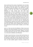know exactly how their systems of exploitation work, far better than many of those who criticize them. Proving to them that the objections that they impose to the attainment of basic income are prejudiced and fallacious will not move anybody's position by one inch. Even worse is the development of definitions of basic income that start from these presuppositions, or that are intended as an answer to these objections that were not raised in order to be resolved. The function of these arguments about problems with Basic Income is not the search of a solution to them, but to be Gordian knots. Their function is to maintain everything tied up, just the way it is now, and to build models starting from these knots. And to drive the movement into losing itself and into tying itself up to what Basic Income is not and can never be: something that could possibly be a salvation of the system of explotation based on primitive deprivation. And if what we create turns out to be that, then that creation will be anything but the restitution of the fundamental and natural right of peoples, and not Basic Income.

And it is in that sense that the definitions of Basic Income lack libertarian and universal potential. They seem to not carry the courage to tell the State and the Market, together, to go back to the hell which they came from, and to see itself for what it is: an instrument of abolition and of liberation.

The Basic Income that does not know itself and that does not manifest itself as liberation not from the lack of jobs or from the existence of bad jobs, but from damned forced work and from the death of those who are born without a way to survive, does not stand explicitly against involuntary servitude and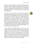wage slavery. The segregation that divides and dominates us may even be called a "basic income" someday, but it will not be Universal. It will not know its libertarian and humanitarian spirit, and will probably not even escape from the cultural and geopolitical alienation that inferferes with the principle of unconditionality.

The Basic Income that denies its vocation, that does not conceive itself as a liberation, will not reach the marginalized, the needy and the expropriated of the world, that do not have the courage to go to the frontlines of struggle against the exploitation of work and capital where this war against humanity produces its greatest innocent victims, is not the true Basic Income. It is instead an idea as old as religion and the State, it is tithe, alms or handouts, and the purchase of the alienated and fidelized among the chosen and protected. It is an instrument of power for the unequal, exercising authority over those who were deprived of fundamental freedoms. I am sorry; that kind of thing already exists.

It may sound like presumptuousness from my part, or a complete absurdity to say that an ideal so simple as the Basic Income may need another and better theoretical-practical conception. But it seems that there is a will to forget the historical roots of the crime of expropriation of the common good; roots that demand that the Basic Income not be a simple charity or assistance, but also the mutual aid between the excluded who therefore seek both the liberation and the restitution of the enjoyment of stolen natural rights.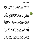As private initiative, the mitigation of that theft is urgent, but as collective action it cannot be any less than the proposal that we take back our common good. As social contract it cannot be any less than the agreement upon a mutual guarantee, between equals, of participation in the common properties.

The Basic Income will not be created by a seizing or cancelling of anyone's rights to property, by infringing upon the rights of every person of inheriting what they have come to own in peace, but by extending this recognition and this absolute protection to heritage and to the natural property that is common to all in order not to be consumed, but to be enjoyed in the exact measure of everyone's needs. It is through guaranteeing the fundamental right to possession and to preservation of everything that is absolutely necessary to everyone's lives, as environment and as vital means, that the inalienable right of participation in the commons as a property and heritage of all mankind be recognized as a natural and universal right that precedes any other right. That it be recognized as a social and humanitarian duty of guaranteeing the participation and enjoyment of the common good by all human beings to the measure of their needs. All that without necessarily tearing down everything that stands today, but instead by converting it in participations on revenues of national and transnational capitals.

To be more specific, it is not through the taxation of individuals that will arrive at the basic income, but through the process of reverse redistribution, restituting the shareholder control of the world's peoples over the territories they occupy, and paying the due social dividends to every person, calculating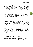those dividends using the gains of these properties as basis. In that way we arrive at a Basic Income that is a natural right and not a handout or a charity from plunderers that use the privilege of managing these properties that are not theirs so they can continue to expropriate them and build monopolies through public and private capitals in collusion.

But who believes in the Nation-States these days? Who believes that States will distribute anything for free, other than bullets and bombs at the peripheries of the world, be them inside or outside their territories?

I am no fool. They will never do it willingly.

Any Basic Income that originates from that system will necessarily uphold, support and reproduce this system of alienation and deprivation. And it is for that reason that the Basic Income, as a practice and as a movement, will not be built without the independent and voluntary social initiative of the expropriated themselves for its mutual and solidary creation. Without that independent social system we will never arrive at the restitution of our natural rights as duties and social contracts posed as unavoidable constitutional obligations of governments and companies. And even if we get to that point, if we lose that supplementary mutual help network, we will be left with no system ready to provide the basics wherever or whenever there is a shortage of shared resources that are enough to provide for everyone's basics.

Therefore, what Basic Income is not missing is a libertarian, ecological and humanitarian spirit. That spirit is there, hidden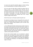in a way to not upset the powerful, aging as a Fourier waiting for his enchanted patron to make his fantasy come true.

So far, we have not been able to build the systems that we need so much in a truly universal scale. We have not yet completely escaped from the eternal utopia, and not because the masses have all been turned into imbeciles, but because the ideal of universality is so poor and delimited as the propositions and projects that manifest them. And I include myself as target of that criticism.

And for that reason I will repeat myself and spell it out:

No national or local Basic Income, if closed off to the world, will ever be an Universal Basic Income. And if that is not yet clear, allow me to continue being repetitive (until we either drop dead or start moving).

I am not affirming that States should not pay a Basic Income to the peoples whose property and wealth they hold or exploit. Or that small communities cannot pay nor receive Basic Income including from each other. On the contrary! I am saying that States, all of them, have the Basic Income as an obligation and a debt to all the peoples of the world.

The fact that universal rights are not restricted to national borders does not exempt the national states from complying with their humanitarian obligations outside of their territories. On the contrary, it forces them to honor debts and obligations to all peoples and individuals, not mattering their citizenship, origins or location.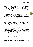The National States and their transnational corporations not only have the obligation to pay that social dividend to the ratio necessary for all to live free, peaceful lives inside the natural territories where they politically and economically control resources, but they also have an humanitarian co-responsibility shared with all the peoples of the world in restituting that natural right to every resident of the planet. And that is an obligation that is directly proportional to the exact measure of the privileges and of the natural wealth they extract through the exploitation of primitive deprivations of populations, and through the violent monopoly of those vital and environmental means, to be paid as taxes or as private and transnational capitals.

There is absolutely no problem with governments and national states paying basic income, as long as they do so in truly universal and unconditional fashion. That their demagogues take that as a challenge: if the empires, tyrants, and the filthy rich of this world start guaranteeing any kind of basic income, I will swallow my words and will bend over until my butt is well raised for them. And no, you don't have to pay it from your own private property. It would suffice for it to be paid from the public budgets that don't belong to them, but that nevertheless are part of their privileges, subsidies, and are used to pay for their weapons and wars.

#### **The upcoming Basic Income...**

Yes, the Basic Income is arriving. And it is, no doubt, an achievement. I'm not going to be grumpy or stupid about it just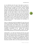so I can defecate over the cause I have given so much to. I admit: that is a hell of an achievement, and I doubt there is anyone else that is as happy as I am with it. After all, nobody has been literally investing their time and money, literally paying for that dream to happen, for as long as I have been. Actually, the Namibia folks would be the ones doing this for the longest, no? But what matters is that we cannot fall into jingoism. On the contrary, we have to rise up to our moral duty like the crazy, as we have been doing, and raise the following question: what the hell is that kind of Basic Income that has been thought of and is being discussed around these parts? "Universal" for whom? Yes, I see Basic Income coming. But for whom? And for what? What purposes and yearnings is it coming to address?

There is no ideal that cannot be emptied of its own terms and purposes and gradually replaced by others completely opposed to its original intent. And suddenly what I see is an ideal of liberation of alienated work, a guarantee of a free and dignified life being at risk of being reduced not only to practices that are completely contradictory to the political and economic emancipation that is inherent to Basic Income, but Basic Income being reduced to an instrument that does the reverse.

Unfortunately, I am under the impression that this new social technology, as with many others, is also being appropriated for other ends and walking towards purposes that are completely distinct to those that we, right at the beginning, worked so hard to get off the drawing board. Speaking like that I almost feel like a socialist, a so-called utopian by those who proclaim themselves scientific. What I see is those people dismissing and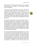distorting the Basic Income ideal to adjust it to the yearnings and precepts of the dictates of the obsolete, dystopian statism's old dogmas.

I know that it may look pointless to ask what is that kind of non-universal Basic Income that we're going to see. But between the absurdy obvious ideal that hardly can be dismissed without falling into inhumane or racist arguments and its realization there are more than obstacles. There are worldviews so distant and so separated by walls and borders as are the centers of the world and their marginalized and exiled peripheries.

And I hope to be wrong, but I see a certain naiveté and even a promiscuity between those who defend a Basic Income in places where political and civil liberties are not consolidated, but also support the use of Basic Income as a neoliberal tool of compensation for a world-wide process of elimination of rights and legislation that protect the working class. But if I am not wrong, that new stage of the process of global division of labor will only enlarge the gigantic abyss of exploitation that divides the rich peoples from the poor.

No, I do not see a Basic Income for all. Not for all of us. I do not see it coming or even being conceived for those who need it the most. For those who are dying or are being enslaved and conscripted by the criminal deprivation of being born without access to the basics for survival. No, I do not see the Basic Income being paid to those who suffer with the plundering and the destruction of human and natural resources. I do not see any project of restitution of that right wherever that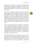deprivation was, and still is, the most brutal and primitive. Where the common good of colonized and occupied peoples and territories is plundered by civilization. I see wars, I see invasions and refugees. But I do not see projects of Universal Basic Income.

What I see is governments taking the control of human and natural resources to the extreme. And after that, the apex of global dystopia: whatever burgeoisie that comes to prevail in that battle at the rich countries, together with their slavedrivers in the poor countries, having a life of idleness by enjoying theirs and others' share of the common good, while the rest of the peoples of the world are turned into slaves in a giant concentration camp, where the cultural and natural richness of the world is extinguished faster than it already is today.

Yes, I do see a Basic Income, but it carries the "everyones" of always. Separated by borders and prejudices. I do see Basic Incomes coming, but not truly universal ones or ones open to universality, but ones rigorously nationalistic and closed off to national citizenships and territorial borders. A Basic Income so conceptually limited by walls and fences, so blind and so alienated of the reality of the world, so separated from humanity as our own nations are.

This article therefore marks our rupture not with our partners and friends, but with the old models and positions. It is a presentation of new definitions of Basic Income that we will adopt from now on and that we intend to use in all communities where we come to implement an unconditional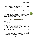basic income that is truly geared towards universality, that is free from geopolitical borders and, in fact, free from any discrimination between human beings.

We had already ruptured with the passive positions that were based on the old conceptions of Basic Income, the stances of those who, apparently, were willing to wait for governmental and political will (and the resurrection of the dead) until the end of times. Now, our disruption is of the old conceptions of Basic Income themselves. In the next chapter, we elaborate on our new Universal Basic Income concept.

# **Basic Income: Definitions**

A Basic Income, by way of principle, cannot be submitted to any kind of discrimination. Therefore, by definition, it cannot hold any kind of segregation not only of race, gender, age and creed, but also of nationality or territoriality. In other words, the universality simply cannot be subjected to statisms or nationalisms. And that should be made explicit.

The definition of a true Basic Income must object to all forms of distinction, including of nationality, citizenship, territoriality or dwelling— it does not matter what institution fulfills that duty, nor the scope of its activity. And that means, in practice, that the payment system cannot, therefore, by definition:

> (i) exclude absolutely anyone inside the area covered by its current actual capacity;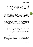(ii) close itself off to any specific locality and, therefore, has the duty to serve equally to all people inside of the territories controlled by their monetary and capital systems, according to the deprivations generated and valued by the cost of life.

Whoever possesses, regulates or benefits from the common good as monetary capital has as an humanitarian duty to create and finance the Basic Income payment systems inside the scope of their monetary systems to the exact proportion and measure that they reify the nature of these territories as capital.

Even with an alternative or supplementary Basic Income, that is, one instituted only through private resources and that therefore does not have as a duty to constantly expand its reach in order to serve everyone, it cannot determine:

> (i) discriminatory objections or restrictions in order to block anyone inside the actual scope covered from joining the mutual protection system that conforms with the terms of that free society;

> (ii) nor limits based on territorialities or localities (even when those are not geopolitical) to prevent its expansion towards those who meet the basic criteria for joining such societies.

Therefore, the only commitment that such Basic Income mutual societies can demand as a duty is that which is strictily necessary for the constitution of the capital that will finance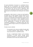the equal participation of everyone in a contribution that is agreed upon by all participants. And although equitable contributions for the institution of a Basic Income that is equal for all would be the most fair kind of agreement, what determines the contributions and basic incomes is whatever is agreed upon by all participants and nothing else from nobody else.

Consequently, a Basic Income is a money sum paid equally to all people who are inside capitalist monetary systems by the economic stewards and political controllers of the natural resources as an inalienable social dividend that originates in the participation of each person in these capitalized common goods and that is never inferior to the cost of living. That sum can be supplemented, if necessary, by voluntary private contributions, established in a mutualistic fashion with rules and sums defined through consensus by the agreement of all participants.

The Basic Income is defined:

(i) necessarily by the revenues available through public or common properties, being, therefore, a right of every human person in a capitalized society;

(ii) and, in supplementary fashion, by the voluntary contribution of private parties, through mutual protection association or, in other words, with a right of participation only for those who associate to fund it.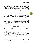The revenues of the common good are, therefore, inalienable. Of course that nobody can be forced to receive their share against their own free will, but there is no permanent forfeiture of that share, not even when explicitly consented, and thus it can be demanded at any time. So, any social contract of appropriation, renunciation or transfer of that participation is void because it is characteristically a slavery contract of the person and of any descendants their may produce.

On the other hand, the private contribution as defined by the social contract of those mutualistic societies, is up to the participants to decide in agreement. They will decide how much the contribution is, and how much the Basic Income payments will be. Since the participation of each is voluntary and the resources private, to whomever the agreement is not in their interest, they are free to abandon the society and start a competing one.

# **Universalities**

By definition, a Basic Income does not need to reach the totality of the world, but it does need to be, in principle, open to all people who are within its reach. That is, there may not be any preconceptions about the totality that are less than humanity itself. If A receives it and B doesn't, that is not because, in theory, it was pre-conceived that A possessed any distinction that made them belong, but because, in practice, the payment system, the social protection program cannot in fact reach B. Because if they do have the means to reach B, and they don't, then these systems are not universal, even if they are, in theory, open.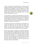It does not matter which governmental or private institute proposes the realization of that human right: no such entity can discriminate and segregate any human being that is within reach the payment system, even if they live on the moon or are martians. If the capitals system reaches these territories, then anyone living on them has an inalienable right to a Basic Income that originates from them.

In other words, if a human life was discovered on the moon, that person would have absolutely the same human rights as all the earthlings, including that of a Basic Income. It is the duty of these earthlings that would be delimited by the ability of reaching the moon and, of course, the ability to pay whatever is sufficient for someone to survive there.

The right to a Basic Income corresponds to the enjoyment of a common heritage that is not only natural, but human. Any member of a family has the same rights of property and income, and that includes someone who, even if a bastard, discovers themselves to be a descendent of the same family.

The reserves of what is possible do not allow for extinction, stalling, conditionalities or segregation of any person that hold the equal right to life and liberty within the scope of a system of minimal guarantees for life. The reserves of what is possible limits only the quantities to be distributed and the reach potential of a system that cannot, ever, be restricted or closed off to its current possibilities, and instead has to be in a permanent state of expansion not only of amounts but of resources as they become available.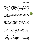Due to reasons supposedly pragmatic, it is considered admissible that the definition of a Basic Income may be subjected to at least one condition: the geopolitical one. As if the existence of a Nation-State was an absolutely necessary condition for the realization of the right to a Basic Income. But it is not. And that primordial natural right cannot at all be subjected to any other national or state interests. But it is a duty of legitimate States, guaranteed through social contracts not only for humanitarian reasons, but as a pre-requisite for states of peace.

The right to a Basic Income is prior to that of States and nations. It does not necessarily require the apparatus of States and nations. In fact, it is not the Basic Income that needs to be subjected to statism, but lawful states must attend to a Basic Income guarantee to all peoples that they affect directly and indirectly, not only so they can maintain minimal legitimacy, but so that they do not commit a crime against the rest of the humanity that they expropriate.

A society or nation that establishes its State, territorial occupation, or business with the subsidies of violence monopolies does not do so based on any right, but merely through the supremacy of force and thus it can be stopped through legitimate defense by those who are deprived of their equal right to life, liberty and their shared properties.

It is fundamental that the precedence of that fundamental right is duly made explicit in a definition of Basic Income that does not subject it or reduce it to the segregationist limitations of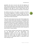geopolitics. Not only it must be clear that the legitimacy of social contracts depends on they respecting that natural right derived from the ownership of the common good, but also the definition of that right as a duty of states cannot ever be conditional to the preconceptions of nationality or territoriality.

No political community on the planet, no society or Stat that has economic hegemony or violence monopoly over one or more territories has the right to exclude a single human being or people out of participating in nature and its resources to the exact measure of their vital needs.

Those who control natural resources and common goods, be in a private or statist fashion have, therefore, a responsibility that is not only social, but primarily humanitarian, of either never blocking the direct access to and the enjoyment of vital means to life, or to provide an equivalent compensation to that need. That is not charity but a duty of peace, given that every being has the natural right to fight by any means necessary for access to and preservation of the environmental means necessary for their survival in a state of liberty.

It is not, therefore, the Basic Income that must subject itself to the old Nation-States and their discriminatory and segregationist borders. But the new lawful States and cosmopolitan nations that must respect and guarantee the natural and common rights and goods to the peoples and nations that are to peacefully coexist in a world that is ever more realizing it is one.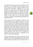The Universal Basic Income cannot be confused with the conception of a national, global or world-wide Basic Income. On the contrary, it must be a network composed of many interconnected communities, overlapping over the same territories; the same kind of open-society network that prevents any totalitarian project from prevailing over liberty through the equal distribution of resources and forces. Regardless whether that network is distributed over a village, a nation or over the entire Earth, it must not only cover the entirety of some territory, but by permanent definition, transcend it factually and conceptually, growing organically as a networked humanity.

A Basic Income must not be bounded nor subjected to the preconceptual limits of the system that pays for it or it will never reach all of humanity, neither in theory nor in practice. That is not because we are locked into the physical, legal and conceptual states that we should not build free and sustainable systems that transcend their borders. Our limits should not be preconceptual, but instead always the limits of our current capacity to realize our human vocation and potential in their fullness. Therefore, such practical limits of Basic Income cannot be derived from any kind of exclusionary definition, but instead from contingencies, limits that are not established by definitions and whose overcoming is anticipated by the definition itself and its realization plan.

Therefore, the definition must serve as a map for those who are going to act it out and make it happen, both in the sense of pointing out what are the fundamental features that the act needs, its pillars, but also what is its sky, its ceiling. That is, it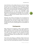must tell what are the priciples that are to never be missing, and what are the constants that effectively pay for a Basic Income, even if it is an imperfect one. So, considering that the Basic Income is the act that seeks to guarantee an equal liberty without any kind of discrimination, its fundamental pillar is the unconditionality and its sky is the universality, being guaranteed exactly by the understanding that the constant respect to the unconditionality as a principle is the universality, which is an objective that constantly shows the way for an unfolding over time.

Obviously, even if those crucial factors are not respected, the value of any action is never cancelled out, since all actions are always greater than any thesis or paper project. But that is precisely the point: the meaning of theory is not to classify or to grade, but to be the constant guide for the formulation of practices.

# **Contingencies**

What should be the frequency of Basic Income payments: weekly, monthly or annually? What is the ideal amount of a Basic Income? How do we compute that? For how long should it be paid? All these questions are very important and they must be answered in order for a Basic Income to be actually implemented anywhere. But the question then is: who gets to answer them?

Those factors also belong to a definition of Basic Income, but not as an autocratic predefinition of third parties, but as the object of free and mutual agreement between the participants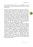of that social contract. That is, only between the ones responsible for it and the beneficiaries of it, be them the same people or not.

Nobody can be forced to spend their private resources (time or money) in a Basic Income system, be it paying for it, receiving it or making decisions about how it should work. And even if what a person is owed is a share of their common good dividends, that person cannot be forced to receive it. However, that manifest refusal or lack of interest in participating either economically or politically of decisions regarding their rights does not signify a permanent abdication. Any such renunciation to one's inalienable share of the commons is void. In the same vein, any appropriation of that share by others is unwarranted. Manifest or not, the political and economical rights of participation in the common good forever stand.

By the same principle of inviolability of property and liberty, any given person's rightful share to the common heritage cannot be appropriated or expropriated from them, regardless of whether that person does not manifest any interest in that share, is incapable of doing so, or explicitly attempts to renounce them. The political and economical participation of that person in the common good is inalienable and continues to belong only to them. Regardless of whether that person is a child, a handicapped person or an alienated adult, their economical rights must always be preserved and made available to them. Just as the space for the exercising of their political rights is always open for anyone who is willing to take them and exercise them.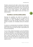Therefore, everyone has the right to a Basic Income, but adult, capable and emancipated persons also have the right to decide, in mutual agreement, the parameters such as how they will receive it and how they will pay for it, both voluntarily with respect to their private properties, and mandatorily with respect to what is owed equally to each one of them as a shared dividend.

# **Conditions and Unconditionalities**

Observing the possibilities that delimit the realization of necessities is a fundamental step out of utopia, but the incorporation of those contingential limitations into the definition not only make the Basic Income ideal an eternal promise of paradise, but immediately destroy the liberation act.

If a person or a community does not participate in defining the fundamental terms of their Basic Income for any reason, that does not take away from them the right to equal political and economical participation.

To put it simply, political emancipation is part of the definition as much as universality is. If A decides how the Basic Income should work and B doesn't, that cannot be part of the definition but, on the contrary, once more that definition must remain open in order to guarantee that B can participate in those democratic decisions that define the concreteness of his Basic Income at any time, as soon as he manifests their desire and capacity to do so.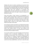Nobody who wants to achieve something must wait for those who don't want to do anything before they take their first step. That person that voluntarily takes the social and humanitarian responsibility must obviously define the terms of that Basic Income using their own capacities of conception and implementation, but they cannot ever turn these terms into a predefinition that restricts the right of decision-making and of definition of others.

Those who define a Basic Income, be conceptually or in practice, simply cannot produce an authoritarian and autocratic Basic Income conception. They cannot use it to negate the libertarian and democratic character of the Basic Income ideal. On the contrary, they must include that openness in their definition itself in order to in fact achieve a valid one that abides by the Basic Income ideal.

Free enterprise and free association are fundamental principles for the implementation of any new reality. However, those who voluntarily spearhead these processes have no reason to stop others from taking control of their own political and economical rights at any time to democratically start to decide the terms of their own Basic Incomes.

To turn what could be at any time the object of communal selfconception into an autocratic predefinition is not only unnecessary, but pernicious. That is not the creation of a Basic Income theory as a compass to guide the emancipation of those who wish for universality, but to develop theoretical instruments of domination by those who may have power and control over those predefinitions, and thus to close the doors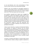to not only liberation, but to the universalization of Basic Income as both a practice and as liberating knowledge.

Ockham's razor must therefore be thoroughly sharpened in order to realize the Basic Income. Is that definition necessary to implement payments? No? Then take it out. Is there a simpler way to do it? Then that simpler way is the way to go.

Any conditions, especially tacit, implicit ones, smuggled into the definition is fatal to the realization of Basic Income. That is because conditions not only create power relations, but they also reinforce the authorities that want to deny rights to the excluded as well as the political and economical privileges of those who control the systems and the knowledge. So, it is not enough to proclaim it as democratically open to all, but to keep the instruments needed for that truly democratic selfmanagement as an object of definition and of decision of the participants themselves.

A Basic Income demands an equality of fundamental liberties and, therefore, an equality of authority over the shared properties that derive these liberties as an enjoyment of them. Thus, it also demands the end of inequalities that originate and support all the facets of deprivation. The existence of those is therefore not admissible as a conceptual predefinition, but on the contrary must be determined as an obstacle to be extinguished by the achievement of what is possible through the projection of that ideal.

In practice, an authority that defines or controls a Basic Income is useful wherever nobody is willing or capable to implement it,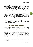but is no longer so where people are capable to do it on their own. A definition that is useful at all times is, therefore, that practical-theoretical definition that encompasses free enterprises and requires them to provision for a full political and economical emancipation through the transference of all autocratically-defined terms to the community of equals.

Indeed, any intellectual or political authority that aims to provide a Basic Income without understanding that the guarantees of factual fundamental freedoms will generate political and cultural emancipation and thus the extinction of their prerogatives, regardless of whether they intend it to or not, in fact does not understand what the Basic Income is and how human development flourishes naturally wherever there is no famine and deprivation. Either that, or they don't truly want to guarantee a Basic Income.

#### **Practices and Experiences**

A Basic Income experiment is valid as a learning tool, but especially to the people who lack that knowledge as a form of emancipation. An experience of Basic Income must not only be placed within humanitarian precepts of respect to people's dignity as equals, but should also be seen as a pedagogical experience where the objective is still the same of emancipating the person that was previously deprived from that right but now enjoys it and asserts their existence through it. That is, people who receive a Basic Income cannot ever be mere guinea pigs of an economic policy but instead subjects of learning. They must participate in that knowledge and appropriate it.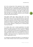As for the running time of the experiment, that is another factor that answers to the principle of consensuality and that therefore stems from an agreement between the parties about the available private resources. As for the common good, there is no room for any restrictions, as the right to a Basic Income does not cease nor is it rejectable. Therefore, if the experiment ends, that right must be urgently restored as soon as possible and then permanently maintained.

That doesn't meant that a Basic Income that is not truly guaranteed, such as within a limited experiment, is not a real Basic Income. All that is really required is that the experiment rest upon an awareness of and an honest foundation of respect towards the realization of the ideal. A Basic Income experiment may last for as long as is agreed upon by all parties involved, but its ultimate objective is nothing short of instituting Basic Income permanently.

It is obvious that, even in private agreements, the actual payments of a Basic Income must have the necessary regularity and be mutually guaranteed to not be spurious or isolated events. An experiment may fail and be interrupted before it can show a sustainable model, but if it is not designed to last for an unspecific amount of time, even if that time is just as long as possible, it will amount only to an experiment and not to a model of applied Basic Income.

It is important to understand that before it is an experiment or even a model, the Basic Income must be, above all, an attitude.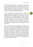The realization of Basic Income, in fact, requires nothing more than a single person capable of recognizing in the other their equal right to life and liberty. It does not need more than the humane relationship between two people of giving and receiving without ever expecting anything in return. Nothing but the consummation of their human equality.

All the systematizing of the Basic Income for communities, nations and planets unfolds from that atom, and it must multiply without ever breaking it. It is the act that is confirmed in the attitude. It is an ethical foundation. It follows the same civilizatory, or better, humanizing impulse that drives a being to not violate another. It is not a favour but a statement, embodied in act, of what kind of human being we are and to what kind of humanity we want to belong, regardless of whether we live surrounded or not by unintelligence and a lack of solidarity.

Thus, even if there were no shared property, the communion of Basic Income could still be formed without any other reason other than the consideration that a person has for every other person as an absolute equal in humanity. It does not matter their origin, their means or authority: for a valid initiative of Basic Income payment to happen all that is required is the recognition by a single person of their social and humanitarian responsibility to the right to life of another. That latter, other person does not need to be a complete stranger to the former, but that Basic Income has to be just the acknowledgement of that human equality in the other.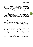Basic Income is always a communion between equals even when they are unequal in means and personal circumstances. And the sums paid and received by every member of that community is defined only by them, through an agreement based on what each person can pay and what all others consider as minimally dignifying and relevant to receive.

Even if only one person contributes or just one person receives it, or even if there is no commitment to reciprocity in the future from those cannot contribute anything today, the Basic Income can be verified as a proper one while the act persists: that of a human being voluntarily guaranteeing to as many others as he can their right to life in liberty without expecting or asking for anything in return from them.

The Basic Income is an affirmation of our identity and human rights, of our inherent and inaliebable equality and liberty through the only possible way to carry that out in fact and in the fullness of its meaning: through solidary relation with the other. Not through an intellectual and abstract relation, but in a sensible one that is full of meaning, one that can only be verified through the concreteness of the act.

Basic Income is not a "let's hope that we will all be free some day." It is the hand that rises up and extends itself for humanity where it exists not as an abstraction, but as a phenomenon of flesh, blood and suffering, in the famine and deprivation of another human being that is in its reach. The rest is hypocrisy.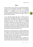### **Sums**

So, Basic Income is not a system or a governmental program, but above all an humanitarian commitment of human beings towards the real humanity of the other. It is therefore instituted in accordance with that person-to-person fundamental principle between equal and free people, and grows towards the living, solidary and intelligent network of free will's infinite potential.

It is an humanist principle that does not derive from nor submits itself to ideological abstractions. It is the affirmation, through action, of one's freedom, equality and humanity in the only way they can in fact exist as complex and integrated phenomena: through the free exercise of a peaceful communion with the other. Not merely the affirmation in act of our respect to the life and liberty that goes beyond not murdering, not enslaving or not exclusively taking from others what belongs to them, but the negation of the absurd: refusing to live with the death of other people by the absurd cause of these people not having the means to survive.

Basic Income is a payment that does not follow the Golden Rule of doing to others only that which we would like them to do to us. Instead, it is the rule of doing for others what they need done, not based on what you want or what you suppose is necessary, but based on what they scream about their needs, even when they cannot utter a single word.

And what if what you have available to give is not sufficient, or is not what they want? If you can't reach them, then reach for another. There is always someone that needs what you have to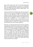give, as little as that may be. There is no sensitive hand whose offer has no matching demand, and there is no contribution that is not significant to those in greatest need. And the latter, above all, is what makes Basic Income an urgent matter... as it has already been for centuries.

Theorists are still very worried about sums. But more important than how much to pay is to immediately start paying what is owed to all and especially to those in most need, using whatever resources are at hand, so that massive debt may start being permanently extinguished. Besides, the magnitude of the famine and of deprivation is of no importance to the theorization of necessary sums, as these sums are to be determined by those who are going to receive it and those who are willing to pay for it. Above all, it is those who are in need that know how every cent can make a difference.

Moreover, it is irrelevant if technocrats, bureaucrats, politicians and intellectuals consider that any given sum is insufficient to establish a Basic Income. The common good does not belong to them, so it is not their prerogative to decide whether a Basic Income will be paid or not. In fact, that definition belongs to no one, as the payment of these dividends is not a debatable matter: it is a debt and it must be paid through whatever means are available. In the same vein, they are not to define what sums of private contributions are to be significant, as that is to be defined by those who are going to pay and receive a Basic Income. Unless they want to democratically negotiate the amounts they desire to contribute and what kind of Basic Income they think is fair or doable.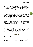In other words, it is not the ethics of the humanitarian action that must be subjected to theorizations or value judgments, but it is theorizations that must observe the foundations of acts and of human and social practices if they want to attain a minimum of veracity and legitimacy.

And that is why governments that reject the Basic Income by claiming they have not enough resources are simply confessing their crime against humanity. They are lying, and even if they were not lying and they in fact did not have enough means to pay not even the minimum necessary for every human being as a shareholder of the common good, they should be receiving at the very least a single cent from these resources. In fact, they don't even have to claim or confess to anything, as the deprivation from the essential minimum and the famine of a single human being before a State that has a budget of a single cent already is proof of that crime of theft and genocide.

When States and their private corporations in fact consume all the natural resources and destroy all the common goods, it will be the criminal bankruptcy of these institutions that shall be declared and not the final consummation of ultimate deprivation and expropriation of people's rights to natural property and to fundamental freedoms.

# **Properties**

Therefore, a Basic Income system cannot be based on compulsory contributions. A Basic Income is not any sort of compensation for ownership of private properties because, in principle, those who own private property have no obligation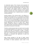to compensate anyone. That is because mere possession of private or even collective property does not necessarily deprive others from what also naturally belongs to them due to their vital necessities. Only property (private or collective) that deprives others from conditions necessary for their peaceful subsistence directly from nature demands that mandatory financial compensation that, in capitalist systems, translates to monetary payments.

Peaceful property of the common good is not defined as a possession of the whole by all, or as a possession of nothing by nobody, and especially not as the appropriation of first-comers or by those who are strong enough to take it by force from others. It is not a resource that belongs to nobody in particular, or to all in general, but of all who need it and of anyone that, in private, appropriates a part of it in peace, that is, against violence, including the violence of depriving someone from their rightful private and peaceful possession as an enjoyment proportional to the person's vital needs.

Therefore, private possession does not need to even be socially or economically productive. All it needs to be, in a social state of peace that offers real guarantees of rights, is peaceful. Similarly to how possession is, above all, a duty to preserve that good and its shared enjoyment proportional to individual's necessities, in accordance with agreements of peace and available surpluses.

When already translated to the logic of capital, private property cannot violate the enjoyment of shared property. And the exercise of shared possession cannot result in the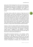destruction of that heritage that is the source of all possession. Shared possession acts only as an enjoyment, to the extent that the property never belongs to an individual, a class, a species, a gender or even to specific generations, but instead is a permanent natural heritage of all living beings, be them human or not.

Thus Basic Income, within the universe of State laws and of capital markets, is not really a compensation of those who own what should be public. By way of justice, it is the opposite: the private profits and revenues from the common goods are the result of the distribution of surpluses to the public and private administrators of the common goods. That distribution is made by the owners of the territory, that is, the citizens themselves, after they get paid their own social dividends. And what each citizen does with their private properties is nobody's business but theirs, as long as they remain peaceful towards all others.

However, it does not matter whether the capital that controls a natural resource is international, national or of the State itself, or even of a future free society. The controllers of whatever capital remain in obligation to pay dividends to all other persons that live in that world and that have the same rights as they have to coexist and to participate in it.

That politico-economical possession is not, therefore, neither alienable nor absolute, but instead determined by its preservation of that capital and its revenues to all. Any social contract that institutes a renunciation to that possession and to dividends generated by it is void. Not only because it is a contract of deprivation of liberties, but of possessions that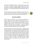should not exclusively belong to a single people or generation for them to liquidate or destroy these possessions. These possessions can only be established legally for preservation and enjoyment, as it will always belong to the generations that are to come.

The world belongs to life itself. It belongs to those who are to be born and not to those who are afraid to die. Nobody has the right to enclose an universe for their own isolated existence.

# **Consensualities**

A Basic Income is always an act of consensual communion. It doesn't matter that it may never reach the ideal, that is, a situation where all receive equally and contribute justly to a single Basic Income system. What is important is the consensus between those who pay and receive it and the constant freedom to separate and to formulate a competing society in terms that meet the expectations of their participants.

A Basic Income that is made alternatively or supplementarily with private resources cannot ever be instituted against the will of the participants. The main Basic Income however, that is, the one that is owed as dividends generated by the common good and that are to be shared by all, cannot be denied to anyone, not by any society or state of peace, unless that society or state wants to witness the excluded, wielding legitimacy, renounce that social contract and start a struggle for their natural subsistence against the deprivations and violations of their natural rights.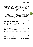It is, therefore, an humanitarian obligation that exists prior to and that will outlast the Nation-States. It is a voluntary responsibility of societies of peace, not as a morality principle, but as a justice and security guarantee not of a repressive State, but of a State of certainty that no one will need to use their brute force to survive. And that if someone does use force then that is violence and not an exercise in legitimate defense. Societies or States that are truly peaceful do not establish themselves by prerogative or by a violence monopoly, but by mutual protection against violence and primitive deprivations. Legitimate property is established by a social contract of peace. It is established between free and equal people as a reciprocal recognition of particular and shared interests. Nobody can steal or hold the private property of others, or the shared property of all, through coercion and violence.

State and private monopolies that do not recognize or fulfill their obligation to pay a Basic Income are therefore not being merely negligent but criminal. Not only they are stealing from those they expropriate, but breaking the social contract of peace as they tacitly declare war against the rest of humanity whom they deprive of their vital minimum.

To demand that they pay the Basic Income or compensate for what is owed not only to us, but to all human beings, is part of our civic and humanitarian obligation. However, paying or working to establish or support alternative or supplementary systems, pilot projects or experiments, isn't.

These solidary or mutualist initiatives are not anybody's obligation, but even then they are not charitable actions. To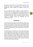Universal Basic Income

pay a Basic Income where it is mostly needed or where it is not enough will never be compulsory, but it will be what distinguishes societies capable of coexisting in peace from others.

And the world will always depend on these societies in moments of famine, of great economic and humanitarian crisis, in order for us to not degenerate in generalized conflict for survival and resources, and for us to never be forever stuck to centralizing States that sustain themselves mainly by violent coercion of peoples, classes and individuals that are marginalized to death.

#### **Conclusion**

If we think that we have Basic Income sufficiently idealized and defined, and that all that's left is to put it into practice and wait for rulers and societies to accept that utopia as realistic, then we definitely need to think harder not only about the real Basic Income but also about what is that reality that we are seeing or that we want.

The Basic Income is an equal sum of money paid consensually and unconditionally by those who in fact control the common good as capital to all people without any distinctions (including those of nationality or territoriality) and within the reach of financial and monetary systems. That payment is both an owed share of the human and natural heritage and a guarantee of everyone's right to a life of peace and to equality of authority and of factual, fundamental liberties.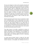We may even disagree on what are the properties shared by all and what are the basic incomes that provide that real liberty. That must be determined by agreements of peace and justice between people. What no intellectually honest person can disagree with, however, is that people in possession of any kind of property or any amount of income are not actually free if they are subject to relations of power and of authority inequality that they have not consented to but are forced to surrender to exactly because they lack sufficient control over these possessions and incomes in order to break free from domination and violation.

Massive possessions and incomes may turn servitude to a State into a comfortable affair, or even a pleasurable one to some. But that is still servitude, where the person does not have full control over their private property nor an equal share of control over shared property. It does not matter how rich one is, as the absence of full political and economical freedom turns the individual into a serf or vassal of those who in fact control the vital, environmental means of survival.

Thus, Basic Income is not really a mechanism or process of wealth redistribution, but of equal distribution of fundamental powers and liberties. That distribution is the foundation of states of justice and peace, as it guarantees equal human and natural rights to all, standing against all forms of depriving, violent monopolies.

In current times the Basic Income is, above all, the social dividend owed by States, companies and societies that control natural resources, to all peoples and individuals who live in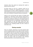territories where they operate by imposing their capital as political-economic systems.

The Basic Income can also be a payment carried out by alternative, competing and supplemental systems of mutual social protection. It is then a system established by a voluntary social contract agreed upon by a group that aims to cover for their costs of living and is funded by voluntary contributions.

Finally, we can say that these two systems of funding could assemble into a ideal Basic Income payment network that is funded by the sum of revenues from shared properties and from private contributions. Moreover, that network would not need the infrastructure of monopolizing, centralizing States as both components of that ideal Basic Income (the main, inalienable one and the voluntary, supplemental one) could be managed by free, competing societies. But that is almost an entire other story.

# **Closing remarks**

There are, therefore, distinctions to be drawn between Basic Income conceptions based on their origins and their concerns. One conception hails from the central, rich countries, that does not escape, nor wants to escape, from their Nation-States that support them, no matter the cost to the well-being of the rest of the world. Another comes from the marginalized countries, peoples and classes inside and outside of the territories dominated politically or economically by these States.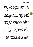The former is for an "everyone" limited to its national citizens or at most to those living legally within its geopolitical borders. The latter, which is universal, does not limit itself to any nationalistic or territorial component. Instead, it limits itself only to its own technological and financial capacity to expand the reach of its social and humanitarian system.

In the former, the ideal of universality is delimited by citizenship and other such State-political concepts. In the latter, the universal is an open ideal that expands according to possibilities democratically defined by emancipated peoples and individuals as dignitaries of their own rights and duties.

There is not, therefore, a single theoretical and practical distinction as we supposed, but completely different conceptions of an Universal Basic Income. Conceptions so separated as the ideas of universality and humanity are by ideas about race, origin, classes, genders and even species.

Universality today is, in practice, a concept turned so empty as that of human rights. It is in danger of once more being buried alive by nationalistic, patriotic and xenophobic preconceptions that once more rise against the humanist and cosmopolitan side-effects of globalization itself.

Universality, liberty and equality are not utopic ideals for consumption by the realpolitik's pragmatism. They are utopias for new worlds and revolutionary social policies. They are practices so marginal and subversive as the peoples and individuals that need them and that put them in practice by necessity and solidarity.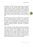Liberation from relations of power and submission. An equality of authority over the common goods. Universal rights to freedom of labor. All these in practice are ideals of universal rights to life and liberty that were denied to the marginalized peoples and individuals of the world. And are, therefore, not ideas that cannot be realized in practice, but ideas that are always damned, always inconvenient as is the resistance of those who do not want to be an object owned by someone else.

Many other forms of poverty are sadder and more urgent than that of intellectual poverty, but there is no poverty so destructive as that of ideals reduced to preconceptions. Today, few ideas are so impoverished and reduced as those of universality, equality and liberty. Liberty as purchasing power. Equality as political citizenship. Universality as totalitarian globalization.

There is, therefore, not only a difference of theses and practice in Basic Income, but of definition between the old one and the new ones. Between the nationalistic ones and the cosmopolitan ones or, more precisely, between the Basic Incomes that need an inequalty of authority in order for rulers to grant them to their civilized, patient and obedient citizens, and the Basic Incomes that demand that the unequal in fundamental liberties rise up against the deprivations and violences inflicted upon their lives and their dignity.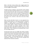What is the Basic Income without that struggle against the famine and deprivation of liberties? What is the Basic Income if not the struggle for these rights?

The Basic Income is nothing or, more precisely, means nothing to those who badly need those liberties if it is not a guarantee that no human ever will, under no circumstances, be deprived from what they need to survive in freedom. The guarantee that not only no person can ever be born without the resources they need to survive, but that never in their lifetimes they will be forced to be a servant or else die by the lack of those resources.

When we show what Basic Income is or was supposed to be, without being reduced to a mere governmental or assistance program, it reveals itself as an humanitarian principle so evident and undeniable that it becomes almost impossible for one to openly oppose it without reverting to and exposing criminal pro-slavery and eugenist prejudices. That is why, proto-fascists aside, objections to the Basic Income are of the polite variety: "That's a beautiful, but impossible ideal, as there are not enough resources."

At least that was the case up to 2008, when trillions of dollars started being continuously injected into States and the banking systems to save them. And people finally caught up to how their governments spend their resources with subsidies to financial markets, environmentally-destructive multinational corporations, weaponry, wars, and all of the corruption that lubricates these monstrous machines.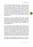Today it is beyond clear that there is not a lack of resources but a surplus. They are however monopolized and being applied to ends diametrically opposed to human rights and social interests. That should be enough to checkmate the scoundrels of the world. But we cannot be naive, as in that power chess the players never tip their kings. Instead, they set fire to the circus and slap the board before the game ends. It may seem that time is not on the side of those whose kings are in check. But no, time runs out for us who consider ourselves humanists and libertarians.

Long gone are the comfortable times when humanist libertarians could defend merely negative freedoms and human rights without ever getting their hands dirty. Times when it was accepted that the Universal Declaration of Human Rights was a work-in-progress, that "civilization" would eventually reach those deprived from it.

The comfortable lie has been dispelled. The presidents of our States and companies were caugth reveling in the resources that others lacked and that did not even belong to them in the first place. For those who still prefer to flatter the powerful in hopes of one day belonging to their little club, present times make that extremely difficult to do without revealing one's wagging tail. How to accept their arguments that there are not enough resources, when we now know that their own accounts clearly have them, and frequently that fact is not even hidden?

Our parents and grandparents had the excuse of a lack of information to justify their alienation. But what is our excuse?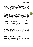In short, how are we to continue playing their little games, answering their questionnaires and objections, when what is lacking to the children dying of hunger in Africa is exactly those existing and stolen resources that later return as land mines or the pollution of their rivers?

I'm sorry to say, but if you don't live in the world's centers then you will have either dig yourself out of your own hole or wait until you're promoted to guinea pig. Asking for help from those who dug the hole in the first place and benefit from your despair, exceptions that confirm the rule aside, is pointless. The true Basic Income is libertarian in the most profound sense. It is a political, economic and cultural emancipation. It is something achieved by equals in their shared sufering and solidarity, and not the grace or benefaction of any authority.

It does not matter that what we can do is little. As said before, there is always a smaller fish. There is always someone poorer, blacker or more fucked than us, and we can make a difference to them.

The perfectly possible and perhaps necessary way to a truly liberating, Universal Basic Income is through the establishment of an open, free, borderless community network that spreads across the world in as many concurrent ways as are the ways people are deprived and starved. That international network of solidarity is limited only by the financial capacities of its volunteer participants and by nothing else.

Tiny projects and communities, and even the most simple and modest social action carried out by an individual, when done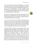from person to person, without intermediation, are universal! They must, if they want to escape the authoritarian framework of preconceptions and economic and geopolitical interests. It is not the size of corporations and their machineries that determines universality's progress towards reaching the whole of a manking without prejudices or borders, but the scope of our humanitarian ideals and principles.

It rests upon us, those who have the least capital and the most solidarity, the responsibility for the future of peoples and of humanity. Because the size of one's will to change the world is inversely proportional to one's privileges.

It is up to us to at least try to transform small actions and projects in the sparks of a network of free and interconnected communities. It is up to us, those who have the least available to pay for a basic income, to realize that we can and should pay it to those who need it the most. That is, if we truly want to see a truly unconditional Basic Income arrive for all someday.

The Basic Income stems from natural properties that can be appropriated either individually or collectively as long as that appropriation does not destroy them or deprive others from enjoying them. Wealth is built through a dispute for surpluses. Political and economical power is built through the monopolistic and destructive imposition of poverty. Of the common good's tree we can only harvest its fruit, and we should do so while ensuring no one is left without their share. If these fruits were infinite in number, then wealth inequality could also be infinite as long as there was no famine left. However, where wealth built from the destruction of the trees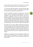and the theft of other's shares of fruit, there is no infinite harvest that is going to stop man from destroying himself.

It is from that right that belongs to everyone that the Basic Income we all have comes from. It is a right to enjoy the tree of life, and a duty to conserve the tree and its fruit.

We, and especially the activists that walk across the many worlds, have the humanitarian responsibility to unite and cooperate so that the Basic Income becomes more than a thesis on universality, so that it in fact can reach all the forgotten peoples, individuals and places that were condemned to cold, sanitized and silent genocide. Because we know that civilization and progress always comes, but with a cost in blood. And we know who are the people who always end up spilling that blood of theirs; who are the usual targets of that genocide.

More than ever we need an applied, urgent Basic Income that is truly for all. But, my friend, do not sit and wait for it. Rise up and start walking, becase it is exactly from the places where it is needed the most that the true Basic Income will be born. How could it be otherwise? It had to come from the eyes and hands of those who see the other as nothing short of their own brother.

Suffering is knowledge. And true knowledge humanizes and spawns bonds of brotherhood that reach far beyond the fences, flags and titles of the men of possessions, powers and their sciences.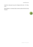It will be a long way to go, but changes shall come. For they, must.

Who believes in universal basic income, please take that step forward.